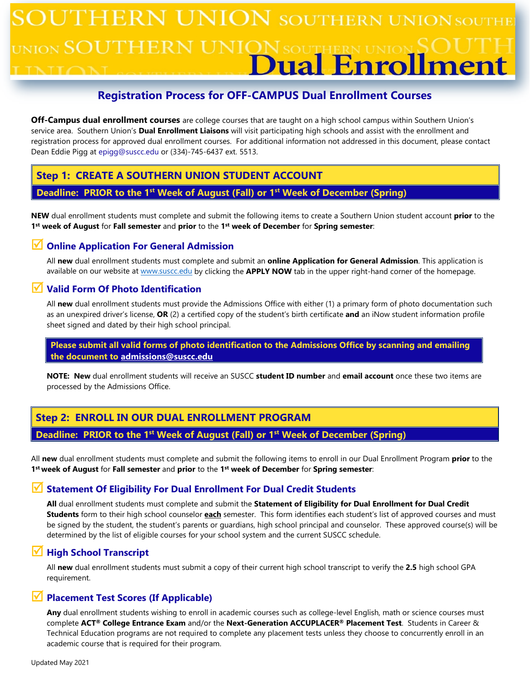# $\sqrt{\rm{UNION}}$  southern union southi JTHERN <sub>IION</sub> SOUTH ual Enrol ment

## **Registration Process for OFF-CAMPUS Dual Enrollment Courses**

**Off-Campus dual enrollment courses** are college courses that are taught on a high school campus within Southern Union's service area. Southern Union's **Dual Enrollment Liaisons** will visit participating high schools and assist with the enrollment and registration process for approved dual enrollment courses. For additional information not addressed in this document, please contact Dean Eddie Pigg at epigg@suscc.edu or (334)-745-6437 ext. 5513.

## **Step 1: CREATE A SOUTHERN UNION STUDENT ACCOUNT**

## **Deadline: PRIOR to the 1st Week of August (Fall) or 1st Week of December (Spring)**

**NEW** dual enrollment students must complete and submit the following items to create a Southern Union student account **prior** to the **1st week of August** for **Fall semester** and **prior** to the **1st week of December** for **Spring semester**:

## **Online Application For General Admission**

All **new** dual enrollment students must complete and submit an **online Application for General Admission**. This application is available on our website a[t www.suscc.edu](http://www.suscc.edu/) by clicking the **APPLY NOW** tab in the upper right-hand corner of the homepage.

## **Valid Form Of Photo Identification**

All **new** dual enrollment students must provide the Admissions Office with either (1) a primary form of photo documentation such as an unexpired driver's license, **OR** (2) a certified copy of the student's birth certificate **and** an iNow student information profile sheet signed and dated by their high school principal.

#### **Please submit all valid forms of photo identification to the Admissions Office by scanning and emailing the document to [admissions@suscc.edu](mailto:admissions@suscc.edu)**

**NOTE: New** dual enrollment students will receive an SUSCC **student ID number** and **email account** once these two items are processed by the Admissions Office.

# **Step 2: ENROLL IN OUR DUAL ENROLLMENT PROGRAM Deadline: PRIOR to the 1st Week of August (Fall) or 1st Week of December (Spring)**

All **new** dual enrollment students must complete and submit the following items to enroll in our Dual Enrollment Program **prior** to the **1st week of August** for **Fall semester** and **prior** to the **1st week of December** for **Spring semester**:

## **Statement Of Eligibility For Dual Enrollment For Dual Credit Students**

**All** dual enrollment students must complete and submit the **Statement of Eligibility for Dual Enrollment for Dual Credit Students** form to their high school counselor **each** semester. This form identifies each student's list of approved courses and must be signed by the student, the student's parents or guardians, high school principal and counselor. These approved course(s) will be determined by the list of eligible courses for your school system and the current SUSCC schedule.

## **High School Transcript**

All **new** dual enrollment students must submit a copy of their current high school transcript to verify the **2.5** high school GPA requirement.

## **Placement Test Scores (If Applicable)**

**Any** dual enrollment students wishing to enroll in academic courses such as college-level English, math or science courses must complete **ACT® College Entrance Exam** and/or the **Next-Generation ACCUPLACER® Placement Test**. Students in Career & Technical Education programs are not required to complete any placement tests unless they choose to concurrently enroll in an academic course that is required for their program.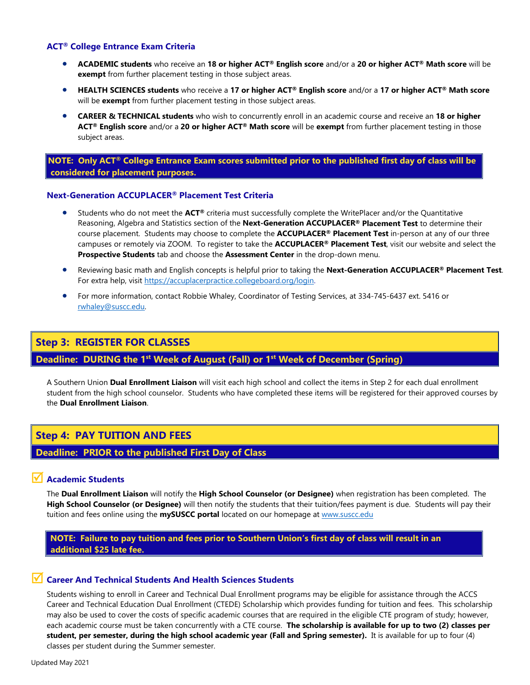#### **ACT® College Entrance Exam Criteria**

- **ACADEMIC students** who receive an **18 or higher ACT® English score** and/or a **20 or higher ACT® Math score** will be **exempt** from further placement testing in those subject areas.
- **HEALTH SCIENCES students** who receive a **17 or higher ACT® English score** and/or a **17 or higher ACT® Math score** will be **exempt** from further placement testing in those subject areas.
- **CAREER & TECHNICAL students** who wish to concurrently enroll in an academic course and receive an **18 or higher ACT® English score** and/or a **20 or higher ACT® Math score** will be **exempt** from further placement testing in those subject areas.

#### **NOTE: Only ACT® College Entrance Exam scores submitted prior to the published first day of class will be considered for placement purposes.**

#### **Next-Generation ACCUPLACER® Placement Test Criteria**

- Students who do not meet the **ACT®** criteria must successfully complete the WritePlacer and/or the Quantitative Reasoning, Algebra and Statistics section of the **Next-Generation ACCUPLACER® Placement Test** to determine their course placement. Students may choose to complete the **ACCUPLACER® Placement Test** in-person at any of our three campuses or remotely via ZOOM. To register to take the **ACCUPLACER® Placement Test**, visit our website and select the **Prospective Students** tab and choose the **Assessment Center** in the drop-down menu.
- Reviewing basic math and English concepts is helpful prior to taking the **Next-Generation ACCUPLACER® Placement Test**. For extra help, visit [https://accuplacerpractice.collegeboard.org/login.](https://accuplacerpractice.collegeboard.org/login)
- For more information, contact Robbie Whaley, Coordinator of Testing Services, at 334-745-6437 ext. 5416 or [rwhaley@suscc.edu.](mailto:rwhaley@suscc.edu)

## **Step 3: REGISTER FOR CLASSES**

## **Deadline:** DURING the 1<sup>st</sup> Week of August (Fall) or 1<sup>st</sup> Week of December (Spring)

A Southern Union **Dual Enrollment Liaison** will visit each high school and collect the items in Step 2 for each dual enrollment student from the high school counselor. Students who have completed these items will be registered for their approved courses by the **Dual Enrollment Liaison**.

## **Step 4: PAY TUITION AND FEES**

#### **Deadline: PRIOR to the published First Day of Class**

#### **Academic Students**

The **Dual Enrollment Liaison** will notify the **High School Counselor (or Designee)** when registration has been completed. The **High School Counselor (or Designee)** will then notify the students that their tuition/fees payment is due. Students will pay their tuition and fees online using the **mySUSCC portal** located on our homepage at [www.suscc.edu](http://www.suscc.edu/)

 **NOTE: Failure to pay tuition and fees prior to Southern Union's first day of class will result in an additional \$25 late fee.**

#### **Career And Technical Students And Health Sciences Students**

Students wishing to enroll in Career and Technical Dual Enrollment programs may be eligible for assistance through the ACCS Career and Technical Education Dual Enrollment (CTEDE) Scholarship which provides funding for tuition and fees. This scholarship may also be used to cover the costs of specific academic courses that are required in the eligible CTE program of study; however, each academic course must be taken concurrently with a CTE course. **The scholarship is available for up to two (2) classes per student, per semester, during the high school academic year (Fall and Spring semester).** It is available for up to four (4) classes per student during the Summer semester.